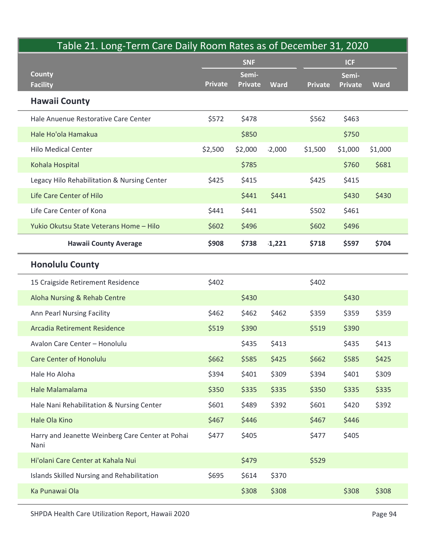| Table 21. Long-Term Care Daily Room Rates as of December 31, 2020 |                | <b>SNF</b>     |             | <b>ICF</b> |                |             |
|-------------------------------------------------------------------|----------------|----------------|-------------|------------|----------------|-------------|
| <b>County</b>                                                     |                | Semi-          |             |            | Semi-          |             |
| <b>Facility</b>                                                   | <b>Private</b> | <b>Private</b> | <b>Ward</b> | Private    | <b>Private</b> | <b>Ward</b> |
| <b>Hawaii County</b>                                              |                |                |             |            |                |             |
| Hale Anuenue Restorative Care Center                              | \$572          | \$478          |             | \$562      | \$463          |             |
| Hale Ho'ola Hamakua                                               |                | \$850          |             |            | \$750          |             |
| <b>Hilo Medical Center</b>                                        | \$2,500        | \$2,000        | 12,000      | \$1,500    | \$1,000        | \$1,000     |
| Kohala Hospital                                                   |                | \$785          |             |            | \$760          | \$681       |
| Legacy Hilo Rehabilitation & Nursing Center                       | \$425          | \$415          |             | \$425      | \$415          |             |
| Life Care Center of Hilo                                          |                | \$441          | \$441       |            | \$430          | \$430       |
| Life Care Center of Kona                                          | \$441          | \$441          |             | \$502      | \$461          |             |
| Yukio Okutsu State Veterans Home - Hilo                           | \$602          | \$496          |             | \$602      | \$496          |             |
| <b>Hawaii County Average</b>                                      | \$908          | \$738          | 1,221       | \$718      | \$597          | \$704       |
| <b>Honolulu County</b>                                            |                |                |             |            |                |             |
| 15 Craigside Retirement Residence                                 | \$402          |                |             | \$402      |                |             |
| Aloha Nursing & Rehab Centre                                      |                | \$430          |             |            | \$430          |             |
| Ann Pearl Nursing Facility                                        | \$462          | \$462          | \$462       | \$359      | \$359          | \$359       |
| Arcadia Retirement Residence                                      | \$519          | \$390          |             | \$519      | \$390          |             |
| Avalon Care Center - Honolulu                                     |                | \$435          | \$413       |            | \$435          | \$413       |
| <b>Care Center of Honolulu</b>                                    | \$662          | \$585          | \$425       | \$662      | \$585          | \$425       |
| Hale Ho Aloha                                                     | \$394          | \$401          | \$309       | \$394      | \$401          | \$309       |
| Hale Malamalama                                                   | \$350          | \$335          | \$335       | \$350      | \$335          | \$335       |
| Hale Nani Rehabilitation & Nursing Center                         | \$601          | \$489          | \$392       | \$601      | \$420          | \$392       |
| Hale Ola Kino                                                     | \$467          | \$446          |             | \$467      | \$446          |             |
| Harry and Jeanette Weinberg Care Center at Pohai<br>Nani          | \$477          | \$405          |             | \$477      | \$405          |             |
| Hi'olani Care Center at Kahala Nui                                |                | \$479          |             | \$529      |                |             |
| Islands Skilled Nursing and Rehabilitation                        | \$695          | \$614          | \$370       |            |                |             |
| Ka Punawai Ola                                                    |                | \$308          | \$308       |            | \$308          | \$308       |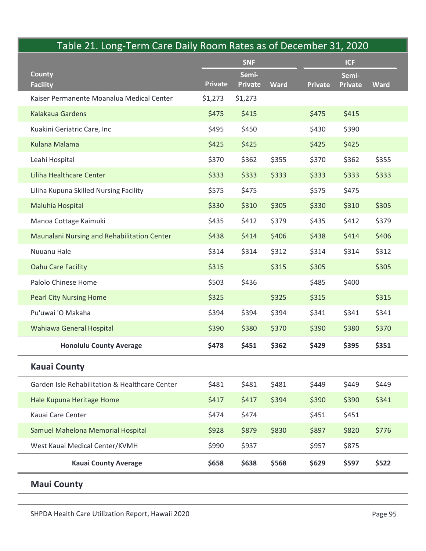|                                                  |                     |                |             | Table 21. Long-Term Care Daily Room Rates as of December 31, 2020 |                |             |  |
|--------------------------------------------------|---------------------|----------------|-------------|-------------------------------------------------------------------|----------------|-------------|--|
| <b>County</b>                                    | <b>SNF</b><br>Semi- |                |             | <b>ICF</b><br>Semi-                                               |                |             |  |
| <b>Facility</b>                                  | <b>Private</b>      | <b>Private</b> | <b>Ward</b> | <b>Private</b>                                                    | <b>Private</b> | <b>Ward</b> |  |
| Kaiser Permanente Moanalua Medical Center        | \$1,273             | \$1,273        |             |                                                                   |                |             |  |
| Kalakaua Gardens                                 | \$475               | \$415          |             | \$475                                                             | \$415          |             |  |
| Kuakini Geriatric Care, Inc                      | \$495               | \$450          |             | \$430                                                             | \$390          |             |  |
| <b>Kulana Malama</b>                             | \$425               | \$425          |             | \$425                                                             | \$425          |             |  |
| Leahi Hospital                                   | \$370               | \$362          | \$355       | \$370                                                             | \$362          | \$355       |  |
| Liliha Healthcare Center                         | \$333               | \$333          | \$333       | \$333                                                             | \$333          | \$333       |  |
| Liliha Kupuna Skilled Nursing Facility           | \$575               | \$475          |             | \$575                                                             | \$475          |             |  |
| Maluhia Hospital                                 | \$330               | \$310          | \$305       | \$330                                                             | \$310          | \$305       |  |
| Manoa Cottage Kaimuki                            | \$435               | \$412          | \$379       | \$435                                                             | \$412          | \$379       |  |
| Maunalani Nursing and Rehabilitation Center      | \$438               | \$414          | \$406       | \$438                                                             | \$414          | \$406       |  |
| Nuuanu Hale                                      | \$314               | \$314          | \$312       | \$314                                                             | \$314          | \$312       |  |
| <b>Oahu Care Facility</b>                        | \$315               |                | \$315       | \$305                                                             |                | \$305       |  |
| Palolo Chinese Home                              | \$503               | \$436          |             | \$485                                                             | \$400          |             |  |
| <b>Pearl City Nursing Home</b>                   | \$325               |                | \$325       | \$315                                                             |                | \$315       |  |
| Pu'uwai 'O Makaha                                | \$394               | \$394          | \$394       | \$341                                                             | \$341          | \$341       |  |
| Wahiawa General Hospital                         | \$390               | \$380          | \$370       | \$390                                                             | \$380          | \$370       |  |
| <b>Honolulu County Average</b>                   | \$478               | \$451          | \$362       | \$429                                                             | \$395          | \$351       |  |
| <b>Kauai County</b>                              |                     |                |             |                                                                   |                |             |  |
| Garden Isle Rehabilitation & Healthcare Center   | \$481               | \$481          | \$481       | \$449                                                             | \$449          | \$449       |  |
| Hale Kupuna Heritage Home                        | \$417               | \$417          | \$394       | \$390                                                             | \$390          | \$341       |  |
| Kauai Care Center                                | \$474               | \$474          |             | \$451                                                             | \$451          |             |  |
| Samuel Mahelona Memorial Hospital                | \$928               | \$879          | \$830       | \$897                                                             | \$820          | \$776       |  |
| West Kauai Medical Center/KVMH                   | \$990               | \$937          |             | \$957                                                             | \$875          |             |  |
| <b>Kauai County Average</b>                      | \$658               | \$638          | \$568       | \$629                                                             | \$597          | \$522       |  |
| <b>Maui County</b>                               |                     |                |             |                                                                   |                |             |  |
|                                                  |                     |                |             |                                                                   |                |             |  |
| SHPDA Health Care Utilization Report Hawaii 2020 |                     |                |             |                                                                   |                |             |  |